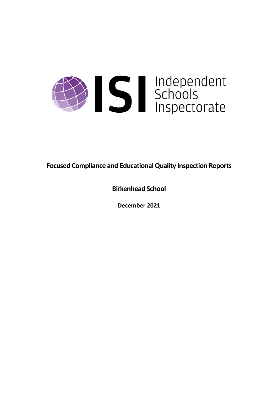

**Focused Compliance and EducationalQuality Inspection Reports**

**Birkenhead School**

**December 2021**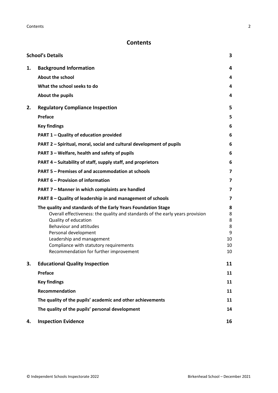## **Contents**

|    | <b>School's Details</b>                                                                                                                                                                                                                                                                                                                    | 3                                       |
|----|--------------------------------------------------------------------------------------------------------------------------------------------------------------------------------------------------------------------------------------------------------------------------------------------------------------------------------------------|-----------------------------------------|
| 1. | <b>Background Information</b>                                                                                                                                                                                                                                                                                                              | 4                                       |
|    | <b>About the school</b>                                                                                                                                                                                                                                                                                                                    | 4                                       |
|    | What the school seeks to do                                                                                                                                                                                                                                                                                                                | 4                                       |
|    | About the pupils                                                                                                                                                                                                                                                                                                                           | 4                                       |
| 2. | <b>Regulatory Compliance Inspection</b>                                                                                                                                                                                                                                                                                                    | 5                                       |
|    | <b>Preface</b>                                                                                                                                                                                                                                                                                                                             | 5                                       |
|    | <b>Key findings</b>                                                                                                                                                                                                                                                                                                                        | 6                                       |
|    | PART 1 - Quality of education provided                                                                                                                                                                                                                                                                                                     | 6                                       |
|    | PART 2 - Spiritual, moral, social and cultural development of pupils                                                                                                                                                                                                                                                                       | 6                                       |
|    | PART 3 - Welfare, health and safety of pupils                                                                                                                                                                                                                                                                                              | 6                                       |
|    | PART 4 - Suitability of staff, supply staff, and proprietors                                                                                                                                                                                                                                                                               | 6                                       |
|    | PART 5 - Premises of and accommodation at schools                                                                                                                                                                                                                                                                                          | 7                                       |
|    | <b>PART 6 - Provision of information</b>                                                                                                                                                                                                                                                                                                   | 7                                       |
|    | PART 7 - Manner in which complaints are handled                                                                                                                                                                                                                                                                                            | 7                                       |
|    | PART 8 - Quality of leadership in and management of schools                                                                                                                                                                                                                                                                                | 7                                       |
|    | The quality and standards of the Early Years Foundation Stage<br>Overall effectiveness: the quality and standards of the early years provision<br>Quality of education<br>Behaviour and attitudes<br>Personal development<br>Leadership and management<br>Compliance with statutory requirements<br>Recommendation for further improvement | 8<br>8<br>8<br>8<br>9<br>10<br>10<br>10 |
| з. | <b>Educational Quality Inspection</b>                                                                                                                                                                                                                                                                                                      | 11                                      |
|    | <b>Preface</b>                                                                                                                                                                                                                                                                                                                             | 11                                      |
|    | <b>Key findings</b>                                                                                                                                                                                                                                                                                                                        | 11                                      |
|    | Recommendation                                                                                                                                                                                                                                                                                                                             | 11                                      |
|    | The quality of the pupils' academic and other achievements                                                                                                                                                                                                                                                                                 | 11                                      |
|    | The quality of the pupils' personal development                                                                                                                                                                                                                                                                                            | 14                                      |
| 4. | <b>Inspection Evidence</b>                                                                                                                                                                                                                                                                                                                 | 16                                      |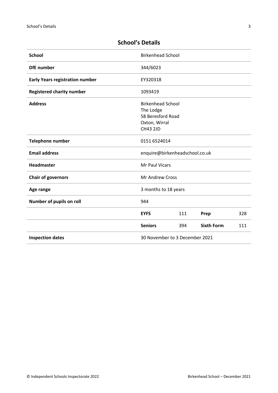| <b>School</b>                          | <b>Birkenhead School</b>                                                                       |     |                   |     |
|----------------------------------------|------------------------------------------------------------------------------------------------|-----|-------------------|-----|
| <b>DfE</b> number                      | 344/6023                                                                                       |     |                   |     |
| <b>Early Years registration number</b> | EY320318                                                                                       |     |                   |     |
| <b>Registered charity number</b>       | 1093419                                                                                        |     |                   |     |
| <b>Address</b>                         | <b>Birkenhead School</b><br>The Lodge<br>58 Beresford Road<br>Oxton, Wirral<br><b>CH43 2JD</b> |     |                   |     |
| <b>Telephone number</b>                | 0151 6524014                                                                                   |     |                   |     |
| <b>Email address</b>                   | enquire@birkenheadschool.co.uk                                                                 |     |                   |     |
| <b>Headmaster</b>                      | Mr Paul Vicars                                                                                 |     |                   |     |
| <b>Chair of governors</b>              | Mr Andrew Cross                                                                                |     |                   |     |
| Age range                              | 3 months to 18 years                                                                           |     |                   |     |
| Number of pupils on roll               | 944                                                                                            |     |                   |     |
|                                        | <b>EYFS</b>                                                                                    | 111 | Prep              | 328 |
|                                        | <b>Seniors</b>                                                                                 | 394 | <b>Sixth Form</b> | 111 |
| <b>Inspection dates</b>                | 30 November to 3 December 2021                                                                 |     |                   |     |

# <span id="page-2-0"></span>**School's Details**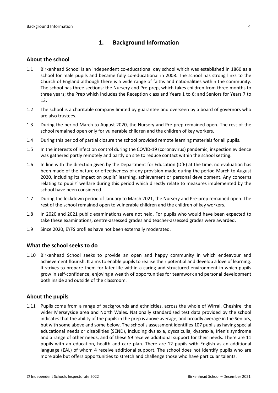## <span id="page-3-0"></span>**1. Background Information**

### <span id="page-3-1"></span>**About the school**

- 1.1 Birkenhead School is an independent co-educational day school which was established in 1860 as a school for male pupils and became fully co-educational in 2008. The school has strong links to the Church of England although there is a wide range of faiths and nationalities within the community. The school has three sections: the Nursery and Pre-prep, which takes children from three months to three years; the Prep which includes the Reception class and Years 1 to 6; and Seniors for Years 7 to 13.
- 1.2 The school is a charitable company limited by guarantee and overseen by a board of governors who are also trustees.
- 1.3 During the period March to August 2020, the Nursery and Pre-prep remained open. The rest of the school remained open only for vulnerable children and the children of key workers.
- 1.4 During this period of partial closure the school provided remote learning materials for all pupils.
- 1.5 In the interests of infection control during the COVID-19 (coronavirus) pandemic, inspection evidence was gathered partly remotely and partly on site to reduce contact within the school setting.
- 1.6 In line with the direction given by the Department for Education (DfE) at the time, no evaluation has been made of the nature or effectiveness of any provision made during the period March to August 2020, including its impact on pupils' learning, achievement or personal development. Any concerns relating to pupils' welfare during this period which directly relate to measures implemented by the school have been considered.
- 1.7 During the lockdown period of January to March 2021, the Nursery and Pre-prep remained open. The rest of the school remained open to vulnerable children and the children of key workers.
- 1.8 In 2020 and 2021 public examinations were not held. For pupils who would have been expected to take these examinations, centre-assessed grades and teacher-assessed grades were awarded.
- 1.9 Since 2020, EYFS profiles have not been externally moderated.

### <span id="page-3-2"></span>**What the school seeks to do**

1.10 Birkenhead School seeks to provide an open and happy community in which endeavour and achievement flourish. It aims to enable pupils to realise their potential and develop a love of learning. It strives to prepare them for later life within a caring and structured environment in which pupils grow in self-confidence, enjoying a wealth of opportunities for teamwork and personal development both inside and outside of the classroom.

### <span id="page-3-3"></span>**About the pupils**

1.11 Pupils come from a range of backgrounds and ethnicities, across the whole of Wirral, Cheshire, the wider Merseyside area and North Wales. Nationally standardised test data provided by the school indicates that the ability of the pupils in the prep is above average, and broadly average in the Seniors, but with some above and some below. The school's assessment identifies 107 pupils as having special educational needs or disabilities (SEND), including dyslexia, dyscalculia, dyspraxia, Irlen's syndrome and a range of other needs, and of these 59 receive additional support for their needs. There are 11 pupils with an education, health and care plan. There are 12 pupils with English as an additional language (EAL) of whom 4 receive additional support. The school does not identify pupils who are more able but offers opportunities to stretch and challenge those who have particular talents.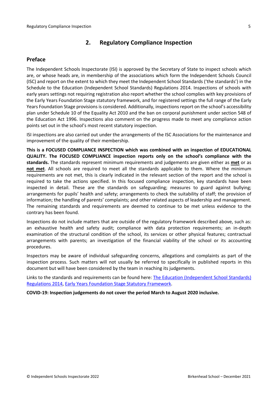## <span id="page-4-0"></span>**2. Regulatory Compliance Inspection**

### <span id="page-4-1"></span>**Preface**

The Independent Schools Inspectorate (ISI) is approved by the Secretary of State to inspect schools which are, or whose heads are, in membership of the associations which form the Independent Schools Council (ISC) and report on the extent to which they meet the Independent School Standards ('the standards') in the Schedule to the Education (Independent School Standards) Regulations 2014. Inspections of schools with early years settings not requiring registration also report whether the school complies with key provisions of the Early Years Foundation Stage statutory framework, and for registered settings the full range of the Early Years Foundation Stage provisions is considered. Additionally, inspections report on the school's accessibility plan under Schedule 10 of the Equality Act 2010 and the ban on corporal punishment under section 548 of the Education Act 1996. Inspections also comment on the progress made to meet any compliance action points set out in the school's most recent statutory inspection.

ISI inspections are also carried out under the arrangements of the ISC Associations for the maintenance and improvement of the quality of their membership.

**This is a FOCUSED COMPLIANCE INSPECTION which was combined with an inspection of EDUCATIONAL QUALITY. The FOCUSED COMPLIANCE inspection reports only on the school's compliance with the standards.** The standards represent minimum requirements and judgements are given either as **met** or as **not met**. All schools are required to meet all the standards applicable to them. Where the minimum requirements are not met, this is clearly indicated in the relevant section of the report and the school is required to take the actions specified. In this focused compliance inspection, key standards have been inspected in detail. These are the standards on safeguarding; measures to guard against bullying; arrangements for pupils' health and safety; arrangements to check the suitability of staff; the provision of information; the handling of parents' complaints; and other related aspects of leadership and management. The remaining standards and requirements are deemed to continue to be met unless evidence to the contrary has been found.

Inspections do not include matters that are outside of the regulatory framework described above, such as: an exhaustive health and safety audit; compliance with data protection requirements; an in-depth examination of the structural condition of the school, its services or other physical features; contractual arrangements with parents; an investigation of the financial viability of the school or its accounting procedures.

Inspectors may be aware of individual safeguarding concerns, allegations and complaints as part of the inspection process. Such matters will not usually be referred to specifically in published reports in this document but will have been considered by the team in reaching its judgements.

Links to the standards and requirements can be found here: The Education [\(Independent](http://www.legislation.gov.uk/uksi/2014/3283/contents/made) School Standards) [Regulations](http://www.legislation.gov.uk/uksi/2014/3283/contents/made) 2014, Early Years Foundation Stage Statutory [Framework.](https://www.gov.uk/government/publications/early-years-foundation-stage-framework--2)

**COVID-19: Inspection judgements do not cover the period March to August 2020 inclusive.**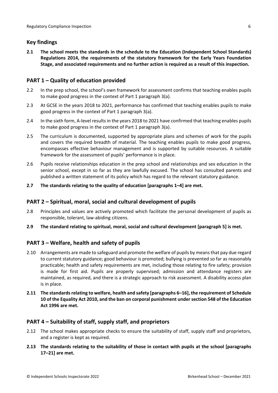### <span id="page-5-0"></span>**Key findings**

**2.1 The school meets the standards in the schedule to the Education (Independent School Standards) Regulations 2014, the requirements of the statutory framework for the Early Years Foundation Stage, and associated requirements and no further action is required as a result of this inspection.**

### <span id="page-5-1"></span>**PART 1 – Quality of education provided**

- 2.2 In the prep school, the school's own framework for assessment confirms that teaching enables pupils to make good progress in the context of Part 1 paragraph 3(a).
- 2.3 At GCSE in the years 2018 to 2021, performance has confirmed that teaching enables pupils to make good progress in the context of Part 1 paragraph 3(a).
- 2.4 In the sixth form, A-level resultsin the years 2018 to 2021 have confirmed that teaching enables pupils to make good progress in the context of Part 1 paragraph 3(a).
- 2.5 The curriculum is documented, supported by appropriate plans and schemes of work for the pupils and covers the required breadth of material. The teaching enables pupils to make good progress, encompasses effective behaviour management and is supported by suitable resources. A suitable framework for the assessment of pupils' performance is in place.
- 2.6 Pupils receive relationships education in the prep school and relationships and sex education in the senior school, except in so far as they are lawfully excused. The school has consulted parents and published a written statement of its policy which has regard to the relevant statutory guidance.
- **2.7 The standards relating to the quality of education [paragraphs 1–4] are met.**

## <span id="page-5-2"></span>**PART 2 – Spiritual, moral, social and cultural development of pupils**

- 2.8 Principles and values are actively promoted which facilitate the personal development of pupils as responsible, tolerant, law-abiding citizens.
- **2.9 The standard relating to spiritual, moral, social and cultural development [paragraph 5] is met.**

## <span id="page-5-3"></span>**PART 3 – Welfare, health and safety of pupils**

- 2.10 Arrangements are made to safeguard and promote the welfare of pupils by means that pay due regard to current statutory guidance; good behaviour is promoted; bullying is prevented so far as reasonably practicable; health and safety requirements are met, including those relating to fire safety; provision is made for first aid. Pupils are properly supervised; admission and attendance registers are maintained, as required, and there is a strategic approach to risk assessment. A disability access plan is in place.
- **2.11 The standardsrelating to welfare, health and safety [paragraphs 6–16], the requirement of Schedule 10 of the Equality Act 2010, and the ban on corporal punishment undersection 548 of the Education Act 1996 are met.**

### <span id="page-5-4"></span>**PART 4 – Suitability of staff, supply staff, and proprietors**

- 2.12 The school makes appropriate checks to ensure the suitability of staff, supply staff and proprietors, and a register is kept as required.
- **2.13 The standards relating to the suitability of those in contact with pupils at the school [paragraphs 17–21] are met.**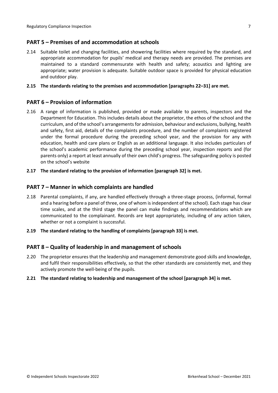### <span id="page-6-0"></span>**PART 5 – Premises of and accommodation at schools**

2.14 Suitable toilet and changing facilities, and showering facilities where required by the standard, and appropriate accommodation for pupils' medical and therapy needs are provided. The premises are maintained to a standard commensurate with health and safety; acoustics and lighting are appropriate; water provision is adequate. Suitable outdoor space is provided for physical education and outdoor play.

### **2.15 The standards relating to the premises and accommodation [paragraphs 22–31] are met.**

### <span id="page-6-1"></span>**PART 6 – Provision of information**

- 2.16 A range of information is published, provided or made available to parents, inspectors and the Department for Education. This includes details about the proprietor, the ethos of the school and the curriculum, and of the school's arrangementsfor admission, behaviour and exclusions, bullying, health and safety, first aid, details of the complaints procedure, and the number of complaints registered under the formal procedure during the preceding school year, and the provision for any with education, health and care plans or English as an additional language. It also includes particulars of the school's academic performance during the preceding school year, inspection reports and (for parents only) a report at least annually of their own child's progress. The safeguarding policy is posted on the school's website
- **2.17 The standard relating to the provision of information [paragraph 32] is met.**

### <span id="page-6-2"></span>**PART 7 – Manner in which complaints are handled**

- 2.18 Parental complaints, if any, are handled effectively through a three-stage process, (informal, formal and a hearing before a panel of three, one of whom is independent of the school). Each stage has clear time scales, and at the third stage the panel can make findings and recommendations which are communicated to the complainant. Records are kept appropriately, including of any action taken, whether or not a complaint is successful.
- **2.19 The standard relating to the handling of complaints [paragraph 33] is met.**

### <span id="page-6-3"></span>**PART 8 – Quality of leadership in and management of schools**

- 2.20 The proprietor ensures that the leadership and management demonstrate good skills and knowledge, and fulfil their responsibilities effectively, so that the other standards are consistently met, and they actively promote the well-being of the pupils.
- **2.21 The standard relating to leadership and management of the school [paragraph 34] is met.**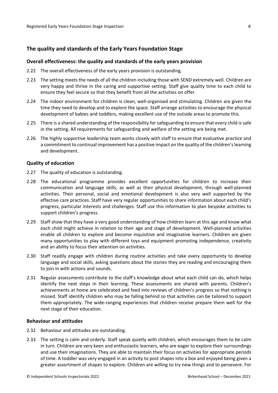### <span id="page-7-0"></span>**The quality and standards of the Early Years Foundation Stage**

#### <span id="page-7-1"></span>**Overall effectiveness: the quality and standards of the early years provision**

- 2.22 The overall effectiveness of the early years provision is outstanding.
- 2.23 The setting meets the needs of all the children including those with SEND extremely well. Children are very happy and thrive in the caring and supportive setting. Staff give quality time to each child to ensure they feel secure so that they benefit from all the activities on offer.
- 2.24 The indoor environment for children is clean, well-organised and stimulating. Children are given the time they need to develop and to explore the space. Staff arrange activities to encourage the physical development of babies and toddlers, making excellent use of the outside areas to promote this.
- 2.25 There is a shared understanding of the responsibility for safeguarding to ensure that every child is safe in the setting. All requirements for safeguarding and welfare of the setting are being met.
- 2.26 The highly supportive leadership team works closely with staff to ensure that evaluative practice and a commitment to continual improvement has a positive impact on the quality of the children's learning and development.

#### <span id="page-7-2"></span>**Quality of education**

- 2.27 The quality of education is outstanding.
- 2.28 The educational programme provides excellent opportunities for children to increase their communication and language skills, as well as their physical development, through well-planned activities. Their personal, social and emotional development is also very well supported by the effective care practices. Staff have very regular opportunities to share information about each child's progress, particular interests and challenges. Staff use this information to plan bespoke activities to support children's progress.
- 2.29 Staff show that they have a very good understanding of how children learn at this age and know what each child might achieve in relation to their age and stage of development. Well-planned activities enable all children to explore and become inquisitive and imaginative learners. Children are given many opportunities to play with different toys and equipment promoting independence, creativity and an ability to focus their attention on activities.
- 2.30 Staff readily engage with children during routine activities and take every opportunity to develop language and social skills, asking questions about the stories they are reading and encouraging them to join in with actions and sounds.
- 2.31 Regular assessments contribute to the staff's knowledge about what each child can do, which helps identify the next steps in their learning. These assessments are shared with parents. Children's achievements at home are celebrated and feed into reviews of children's progress so that nothing is missed. Staff identify children who may be falling behind so that activities can be tailored to support them appropriately. The wide-ranging experiences that children receive prepare them well for the next stage of their education.

#### <span id="page-7-3"></span>**Behaviour and attitudes**

- 2.32 Behaviour and attitudes are outstanding.
- 2.33 The setting is calm and orderly. Staff speak quietly with children, which encourages them to be calm in turn. Children are very keen and enthusiastic learners, who are eager to explore their surroundings and use their imaginations. They are able to maintain their focus on activities for appropriate periods of time. A toddler was very engaged in an activity to post shapes into a box and enjoyed being given a greater assortment of shapes to explore. Children are willing to try new things and to persevere. For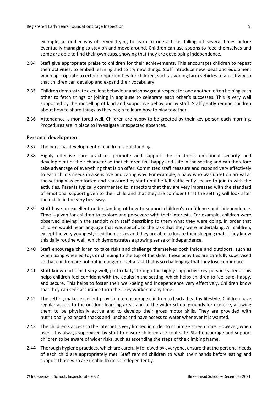example, a toddler was observed trying to learn to ride a trike, falling off several times before eventually managing to stay on and move around. Children can use spoons to feed themselves and some are able to find their own cups, showing that they are developing independence.

- 2.34 Staff give appropriate praise to children for their achievements. This encourages children to repeat their activities, to embed learning and to try new things. Staff introduce new ideas and equipment when appropriate to extend opportunities for children, such as adding farm vehicles to an activity so that children can develop and expand their vocabulary.
- 2.35 Children demonstrate excellent behaviour and show great respect for one another, often helping each other to fetch things or joining in applause to celebrate each other's successes. This is very well supported by the modelling of kind and supportive behaviour by staff. Staff gently remind children about how to share things as they begin to learn how to play together.
- 2.36 Attendance is monitored well. Children are happy to be greeted by their key person each morning. Procedures are in place to investigate unexpected absences.

### <span id="page-8-0"></span>**Personal development**

- 2.37 The personal development of children is outstanding.
- 2.38 Highly effective care practices promote and support the children's emotional security and development of their character so that children feel happy and safe in the setting and can therefore take advantage of everything that is on offer. Committed staff reassure and respond very effectively to each child's needs in a sensitive and caring way. For example, a baby who was upset on arrival at the setting was comforted and reassured by staff until he felt sufficiently secure to join in with the activities. Parents typically commented to inspectors that they are very impressed with the standard of emotional support given to their child and that they are confident that the setting will look after their child in the very best way.
- 2.39 Staff have an excellent understanding of how to support children's confidence and independence. Time is given for children to explore and persevere with their interests. For example, children were observed playing in the sandpit with staff describing to them what they were doing, in order that children would hear language that was specific to the task that they were undertaking. All children, except the very youngest, feed themselves and they are able to locate their sleeping mats. They know this daily routine well, which demonstrates a growing sense of independence.
- 2.40 Staff encourage children to take risks and challenge themselves both inside and outdoors, such as when using wheeled toys or climbing to the top of the slide. These activities are carefully supervised so that children are not put in danger or set a task that is so challenging that they lose confidence.
- 2.41 Staff know each child very well, particularly through the highly supportive key person system. This helps children feel confident with the adults in the setting, which helps children to feel safe, happy, and secure. This helps to foster their well-being and independence very effectively. Children know that they can seek assurance form their key worker at any time.
- 2.42 The setting makes excellent provision to encourage children to lead a healthy lifestyle. Children have regular access to the outdoor learning areas and to the wider school grounds for exercise, allowing them to be physically active and to develop their gross motor skills. They are provided with nutritionally balanced snacks and lunches and have access to water whenever it is wanted.
- 2.43 The children's access to the internet is very limited in order to minimise screen time. However, when used, it is always supervised by staff to ensure children are kept safe. Staff encourage and support children to be aware of wider risks, such as ascending the steps of the climbing frame.
- 2.44 Thorough hygiene practices, which are carefully followed by everyone, ensure that the personal needs of each child are appropriately met. Staff remind children to wash their hands before eating and support those who are unable to do so independently.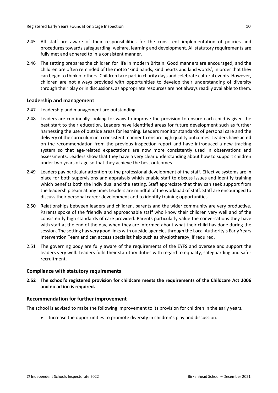- 2.45 All staff are aware of their responsibilities for the consistent implementation of policies and procedures towards safeguarding, welfare, learning and development. All statutory requirements are fully met and adhered to in a consistent manner.
- 2.46 The setting prepares the children for life in modern Britain. Good manners are encouraged, and the children are often reminded of the motto 'kind hands, kind hearts and kind words', in order that they can begin to think of others. Children take part in charity days and celebrate cultural events. However, children are not always provided with opportunities to develop their understanding of diversity through their play or in discussions, as appropriate resources are not always readily available to them.

### <span id="page-9-0"></span>**Leadership and management**

- 2.47 Leadership and management are outstanding.
- 2.48 Leaders are continually looking for ways to improve the provision to ensure each child is given the best start to their education. Leaders have identified areas for future development such as further harnessing the use of outside areas for learning. Leaders monitor standards of personal care and the delivery of the curriculum in a consistent manner to ensure high quality outcomes. Leaders have acted on the recommendation from the previous inspection report and have introduced a new tracking system so that age-related expectations are now more consistently used in observations and assessments. Leaders show that they have a very clear understanding about how to support children under two years of age so that they achieve the best outcomes.
- 2.49 Leaders pay particular attention to the professional development of the staff. Effective systems are in place for both supervisions and appraisals which enable staff to discuss issues and identify training which benefits both the individual and the setting. Staff appreciate that they can seek support from the leadership team at any time. Leaders are mindful of the workload of staff. Staff are encouraged to discuss their personal career development and to identify training opportunities.
- 2.50 Relationships between leaders and children, parents and the wider community are very productive. Parents spoke of the friendly and approachable staff who know their children very well and of the consistently high standards of care provided. Parents particularly value the conversations they have with staff at the end of the day, when they are informed about what their child has done during the session. The setting has very good links with outside agencies through the Local Authority's Early Years Intervention Team and can access specialist help such as physiotherapy, if required.
- 2.51 The governing body are fully aware of the requirements of the EYFS and oversee and support the leaders very well. Leaders fulfil their statutory duties with regard to equality, safeguarding and safer recruitment.

#### <span id="page-9-1"></span>**Compliance with statutory requirements**

**2.52 The school's registered provision for childcare meets the requirements of the Childcare Act 2006 and no action is required.**

### <span id="page-9-2"></span>**Recommendation for further improvement**

The school is advised to make the following improvement to its provision for children in the early years.

Increase the opportunities to promote diversity in children's play and discussion.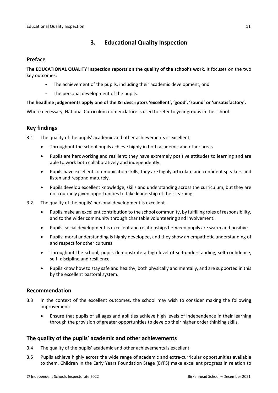# <span id="page-10-0"></span>**3. Educational Quality Inspection**

### <span id="page-10-1"></span>**Preface**

**The EDUCATIONAL QUALITY inspection reports on the quality of the school's work**. It focuses on the two key outcomes:

- The achievement of the pupils, including their academic development, and
- The personal development of the pupils.

### **The headline judgements apply one of the ISI descriptors 'excellent', 'good', 'sound' or 'unsatisfactory'.**

Where necessary, National Curriculum nomenclature is used to refer to year groups in the school.

## <span id="page-10-2"></span>**Key findings**

3.1 The quality of the pupils' academic and other achievements is excellent.

- Throughout the school pupils achieve highly in both academic and other areas.
- Pupils are hardworking and resilient; they have extremely positive attitudes to learning and are able to work both collaboratively and independently.
- Pupils have excellent communication skills; they are highly articulate and confident speakers and listen and respond maturely.
- Pupils develop excellent knowledge, skills and understanding across the curriculum, but they are not routinely given opportunities to take leadership of their learning.
- 3.2 The quality of the pupils' personal development is excellent.
	- Pupils make an excellent contribution to the school community, by fulfilling roles of responsibility, and to the wider community through charitable volunteering and involvement.
	- Pupils' social development is excellent and relationships between pupils are warm and positive.
	- Pupils' moral understanding is highly developed, and they show an empathetic understanding of and respect for other cultures
	- Throughout the school, pupils demonstrate a high level of self-understanding, self-confidence, self- discipline and resilience.
	- Pupils know how to stay safe and healthy, both physically and mentally, and are supported in this by the excellent pastoral system.

## <span id="page-10-3"></span>**Recommendation**

- 3.3 In the context of the excellent outcomes, the school may wish to consider making the following improvement:
	- Ensure that pupils of all ages and abilities achieve high levels of independence in their learning through the provision of greater opportunities to develop their higher order thinking skills.

## <span id="page-10-4"></span>**The quality of the pupils' academic and other achievements**

- 3.4 The quality of the pupils' academic and other achievements is excellent.
- 3.5 Pupils achieve highly across the wide range of academic and extra-curricular opportunities available to them. Children in the Early Years Foundation Stage (EYFS) make excellent progress in relation to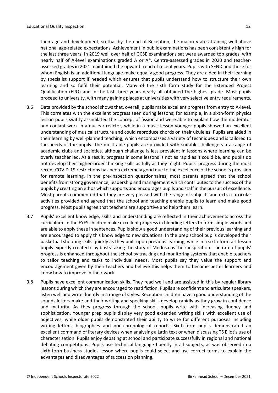their age and development, so that by the end of Reception, the majority are attaining well above national age-related expectations. Achievement in public examinations has been consistently high for the last three years. In 2019 well over half of GCSE examinations sat were awarded top grades, with nearly half of A-level examinations graded A or A\*. Centre-assessed grades in 2020 and teacherassessed grades in 2021 maintained the upward trend of recent years. Pupils with SEND and those for whom English is an additional language make equally good progress. They are aided in their learning by specialist support if needed which ensures that pupils understand how to structure their own learning and so fulfil their potential. Many of the sixth form study for the Extended Project Qualification (EPQ) and in the last three years nearly all obtained the highest grade. Most pupils proceed to university, with many gaining places at universities with very selective entry requirements.

- 3.6 Data provided by the school shows that, overall, pupils make excellent progress from entry to A-level. This correlates with the excellent progress seen during lessons; for example, in a sixth-form physics lesson pupils swiftly assimilated the concept of fission and were able to explain how the moderator and coolant work in a nuclear reactor, while in a music lesson younger pupils showed an excellent understanding of musical structure and could reproduce chords on their ukuleles. Pupils are aided in their learning by well-planned teaching, which encompasses a variety of techniques and is tailored to the needs of the pupils. The most able pupils are provided with suitable challenge via a range of academic clubs and societies, although challenge is less prevalent in lessons where learning can be overly teacher led. As a result, progress in some lessons is not as rapid as it could be, and pupils do not develop their higher-order thinking skills as fully as they might. Pupils' progress during the most recent COVID-19 restrictions has been extremely good due to the excellence of the school's provision for remote learning. In the pre-inspection questionnaires, most parents agreed that the school benefits from strong governance, leadership and management which contributes to the success of the pupils by creating an ethos which supports and encourages pupils and staff in the pursuit of excellence. Most parents commented that they are very pleased with the range of subjects and extra-curricular activities provided and agreed that the school and teaching enable pupils to learn and make good progress. Most pupils agree that teachers are supportive and help them learn.
- 3.7 Pupils' excellent knowledge, skills and understanding are reflected in their achievements across the curriculum. In the EYFS children make excellent progress in blending letters to form simple words and are able to apply these in sentences. Pupils show a good understanding of their previous learning and are encouraged to apply this knowledge to new situations. In the prep school pupils developed their basketball shooting skills quickly as they built upon previous learning, while in a sixth-form art lesson pupils expertly created clay busts taking the story of Medusa as their inspiration. The rate of pupils' progress is enhanced throughout the school by tracking and monitoring systems that enable teachers to tailor teaching and tasks to individual needs. Most pupils say they value the support and encouragement given by their teachers and believe this helps them to become better learners and know how to improve in their work.
- 3.8 Pupils have excellent communication skills. They read well and are assisted in this by regular library lessons during which they are encouraged to read fiction. Pupils are confident and articulate speakers, listen well and write fluently in a range of styles. Reception children have a good understanding of the sounds letters make and their writing and speaking skills develop rapidly as they grow in confidence and maturity. As they progress through the school, pupils write with increasing fluency and sophistication. Younger prep pupils display very good extended writing skills with excellent use of adjectives, while older pupils demonstrated their ability to write for different purposes including writing letters, biographies and non-chronological reports. Sixth-form pupils demonstrated an excellent command of literary devices when analysing a Latin text or when discussing TS Eliot's use of characterisation. Pupils enjoy debating at school and participate successfully in regional and national debating competitions. Pupils use technical language fluently in all subjects, as was observed in a sixth-form business studies lesson where pupils could select and use correct terms to explain the advantages and disadvantages of succession planning.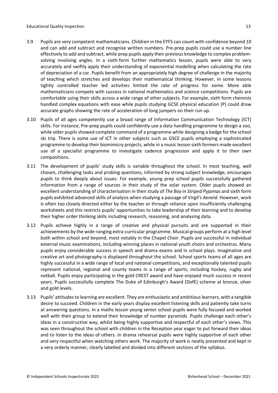- 3.9 Pupils are very competent mathematicians. Children in the EYFS can count with confidence beyond 10 and can add and subtract and recognise written numbers. Pre-prep pupils could use a number line effectively to add and subtract, while prep pupils apply their previous knowledge to complex problemsolving involving angles. In a sixth-form further mathematics lesson, pupils were able to very accurately and swiftly apply their understanding of exponential modelling when calculating the rate of depreciation of a car. Pupils benefit from an appropriately high degree of challenge in the majority of teaching which stretches and develops their mathematical thinking. However, in some lessons tightly controlled teacher led activities limited the rate of progress for some. More able mathematicians compete with success in national mathematics and science competitions. Pupils are comfortable using their skills across a wide range of other subjects. For example, sixth form chemists handled complex equations with ease while pupils studying GCSE physical education (P) could draw accurate graphs showing the rate of acceleration of long jumpers on their run up.
- 3.10 Pupils of all ages competently use a broad range of Information Communication Technology (ICT) skills. For instance, Pre-prep pupils could confidently use a data handling programme to design a zoo, while older pupils showed complete command of a programme while designing a badge for the school ski trip. There is some use of ICT in other subjects such as GSCE pupils employing a sophisticated programme to develop their biomimicry projects, while in a music lesson sixth formers made excellent use of a specialist programme to investigate cadence progression and apply it to their own compositions.
- 3.11 The development of pupils' study skills is variable throughout the school. In most teaching, well chosen, challenging tasks and probing questions, informed by strong subject knowledge, encourages pupils to think deeply about issues. For example, young prep school pupils successfully gathered information from a range of sources in their study of the solar system. Older pupils showed an excellent understanding of characterisation in theirstudy of *The Boy in Striped Pyjamas* and sixth form pupils exhibited advanced skills of analysis when studying a passage of Virgil's *Aeneid*. However, work is often too closely directed either by the teacher or through reliance upon insufficiently challenging worksheets and this restricts pupils' opportunities to take leadership of their learning and to develop their higher order thinking skills including research, reasoning, and analysing data.
- 3.12 Pupils achieve highly in a range of creative and physical pursuits and are supported in their achievements by the wide-ranging extra-curricular programme. Musical groups perform at a high level both within school and beyond, most notably in the Chapel Choir. Pupils are successful in individual external music examinations, including winning places in national youth choirs and orchestras. Many pupils enjoy considerable success in speech and drama exams and in school plays. Imaginative and creative art and photography is displayed throughout the school. School sports teams of all ages are highly successful in a wide range of local and national competitions, and exceptionally talented pupils represent national, regional and county teams in a range of sports, including hockey, rugby and netball. Pupils enjoy participating in the gold CREST award and have enjoyed much success in recent years. Pupils successfully complete The Duke of Edinburgh's Award (DofE) scheme at bronze, silver and gold levels.
- 3.13 Pupils' attitudesto learning are excellent. They are enthusiastic and ambitiouslearners, with a tangible desire to succeed. Children in the early years display excellent listening skills and patiently take turns at answering questions. In a maths lesson young senior school pupils were fully focused and worked well with their group to extend their knowledge of number pyramids. Pupils challenge each other's ideas in a constructive way, whilst being highly supportive and respectful of each other's views. This was seen throughout the school with children in the Reception year eager to put forward their ideas and to listen to the ideas of others. In drama rehearsal pupils were highly supportive of each other and very respectful when watching others work. The majority of work is neatly presented and kept in a very orderly manner, clearly labelled and divided into different sections of the syllabus.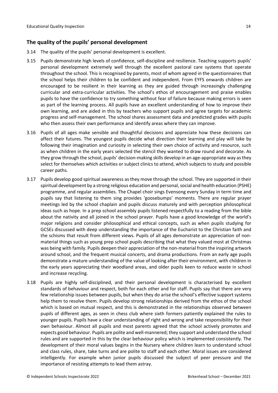### <span id="page-13-0"></span>**The quality of the pupils' personal development**

- 3.14 The quality of the pupils' personal development is excellent.
- 3.15 Pupils demonstrate high levels of confidence, self-discipline and resilience. Teaching supports pupils' personal development extremely well through the excellent pastoral care systems that operate throughout the school. This is recognised by parents, most of whom agreed in the questionnaires that the school helps their children to be confident and independent. From EYFS onwards children are encouraged to be resilient in their learning as they are guided through increasingly challenging curricular and extra-curricular activities. The school's ethos of encouragement and praise enables pupils to have the confidence to try something without fear of failure because making errors is seen as part of the learning process. All pupils have an excellent understanding of how to improve their own learning, and are aided in this by teachers who support pupils and agree targets for academic progress and self-management. The school shares assessment data and predicted grades with pupils who then assess their own performance and identify areas where they can improve.
- 3.16 Pupils of all ages make sensible and thoughtful decisions and appreciate how these decisions can affect their futures. The youngest pupils decide what direction their learning and play will take by following their imagination and curiosity in selecting their own choice of activity and resource, such as when children in the early years selected the stencil they wanted to draw round and decorate. As they grow through the school, pupils' decision-making skills develop in an age-appropriate way asthey select for themselves which activities or subject clinics to attend, which subjects to study and possible career paths.
- 3.17 Pupils develop good spiritual awareness as they move through the school. They are supported in their spiritual development by a strong religious education and personal, social and health education (PSHE) programme, and regular assemblies. The Chapel choir sings Evensong every Sunday in term time and pupils say that listening to them sing provides 'goosebumps' moments. There are regular prayer meetings led by the school chaplain and pupils discuss maturely and with perception philosophical ideas such as hope. In a prep school assembly pupils listened respectfully to a reading from the bible about the nativity and all joined in the school prayer. Pupils have a good knowledge of the world's major religions and consider philosophical and ethical concepts, such as when pupils studying for GCSEs discussed with deep understanding the importance of the Eucharist to the Christian faith and the schisms that result from different views. Pupils of all ages demonstrate an appreciation of nonmaterial things such as young prep school pupils describing that what they valued most at Christmas was being with family. Pupils deepen their appreciation of the non-material from the inspiring artwork around school, and the frequent musical concerts, and drama productions. From an early age pupils demonstrate a mature understanding of the value of looking after their environment, with children in the early years appreciating their woodland areas, and older pupils keen to reduce waste in school and increase recycling.
- 3.18 Pupils are highly self-disciplined, and their personal development is characterised by excellent standards of behaviour and respect, both for each other and for staff. Pupils say that there are very few relationship issues between pupils, but when they do arise the school's effective support systems help them to resolve them. Pupils develop strong relationships derived from the ethos of the school which is based on mutual respect, and this is demonstrated in the relationships observed between pupils of different ages, as seen in chess club where sixth formers patiently explained the rules to younger pupils. Pupils have a clear understanding of right and wrong and take responsibility for their own behaviour. Almost all pupils and most parents agreed that the school actively promotes and expects good behaviour. Pupils are polite and well-mannered; they support and understand the school rules and are supported in this by the clear behaviour policy which is implemented consistently. The development of their moral values begins in the Nursery where children learn to understand school and class rules, share, take turns and are polite to staff and each other. Moral issues are considered intelligently. For example when junior pupils discussed the subject of peer pressure and the importance of resisting attempts to lead them astray.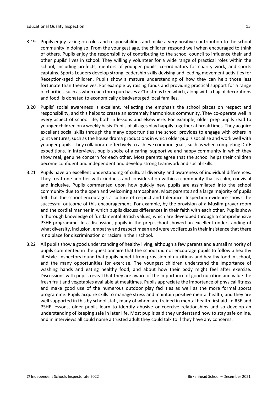- 3.19 Pupils enjoy taking on roles and responsibilities and make a very positive contribution to the school community in doing so. From the youngest age, the children respond well when encouraged to think of others. Pupils enjoy the responsibility of contributing to the school council to influence their and other pupils' lives in school. They willingly volunteer for a wide range of practical roles within the school, including prefects, mentors of younger pupils, co-ordinators for charity work, and sports captains. Sports Leaders develop strong leadership skills devising and leading movement activities for Reception-aged children. Pupils show a mature understanding of how they can help those less fortunate than themselves. For example by raising funds and providing practical support for a range of charities, such as when each form purchases a Christmas tree which, along with a bag of decorations and food, is donated to economically disadvantaged local families.
- 3.20 Pupils' social awareness is excellent, reflecting the emphasis the school places on respect and responsibility, and this helps to create an extremely harmonious community. They co-operate well in every aspect of school life, both in lessons and elsewhere. For example, older prep pupils read to younger children on a weekly basis. Pupils of all ages play happily together at break times. They acquire excellent social skills through the many opportunities the school provides to engage with others in joint ventures, such as the house drama productions in which older pupils socialise and work well with younger pupils. They collaborate effectively to achieve common goals, such as when completing DofE expeditions. In interviews, pupils spoke of a caring, supportive and happy community in which they show real, genuine concern for each other. Most parents agree that the school helps their children become confident and independent and develop strong teamwork and social skills.
- 3.21 Pupils have an excellent understanding of cultural diversity and awareness of individual differences. They treat one another with kindness and consideration within a community that is calm, convivial and inclusive. Pupils commented upon how quickly new pupils are assimilated into the school community due to the open and welcoming atmosphere. Most parents and a large majority of pupils felt that the school encourages a culture of respect and tolerance. Inspection evidence shows the successful outcome of this encouragement. For example, by the provision of a Muslim prayer room and the cordial manner in which pupils discuss differences in their faith with each other. Pupils show a thorough knowledge of fundamental British values, which are developed through a comprehensive PSHE programme. In a discussion, pupils in the prep school showed an excellent understanding of what diversity, inclusion, empathy and respect mean and were vociferousin their insistence that there is no place for discrimination or racism in their school.
- 3.22 All pupils show a good understanding of healthy living, although a few parents and a small minority of pupils commented in the questionnaire that the school did not encourage pupils to follow a healthy lifestyle. Inspectors found that pupils benefit from provision of nutritious and healthy food in school, and the many opportunities for exercise. The youngest children understand the importance of washing hands and eating healthy food, and about how their body might feel after exercise. Discussions with pupils reveal that they are aware of the importance of good nutrition and value the fresh fruit and vegetables available at mealtimes. Pupils appreciate the importance of physical fitness and make good use of the numerous outdoor play facilities as well as the more formal sports programme. Pupils acquire skills to manage stress and maintain positive mental health, and they are well supported in this by school staff, many of whom are trained in mental health first aid. In RSE and PSHE lessons, older pupils learn to identify abusive or coercive relationships and so develop an understanding of keeping safe in later life. Most pupils said they understand how to stay safe online, and in interviews all could name a trusted adult they could talk to if they have any concerns.